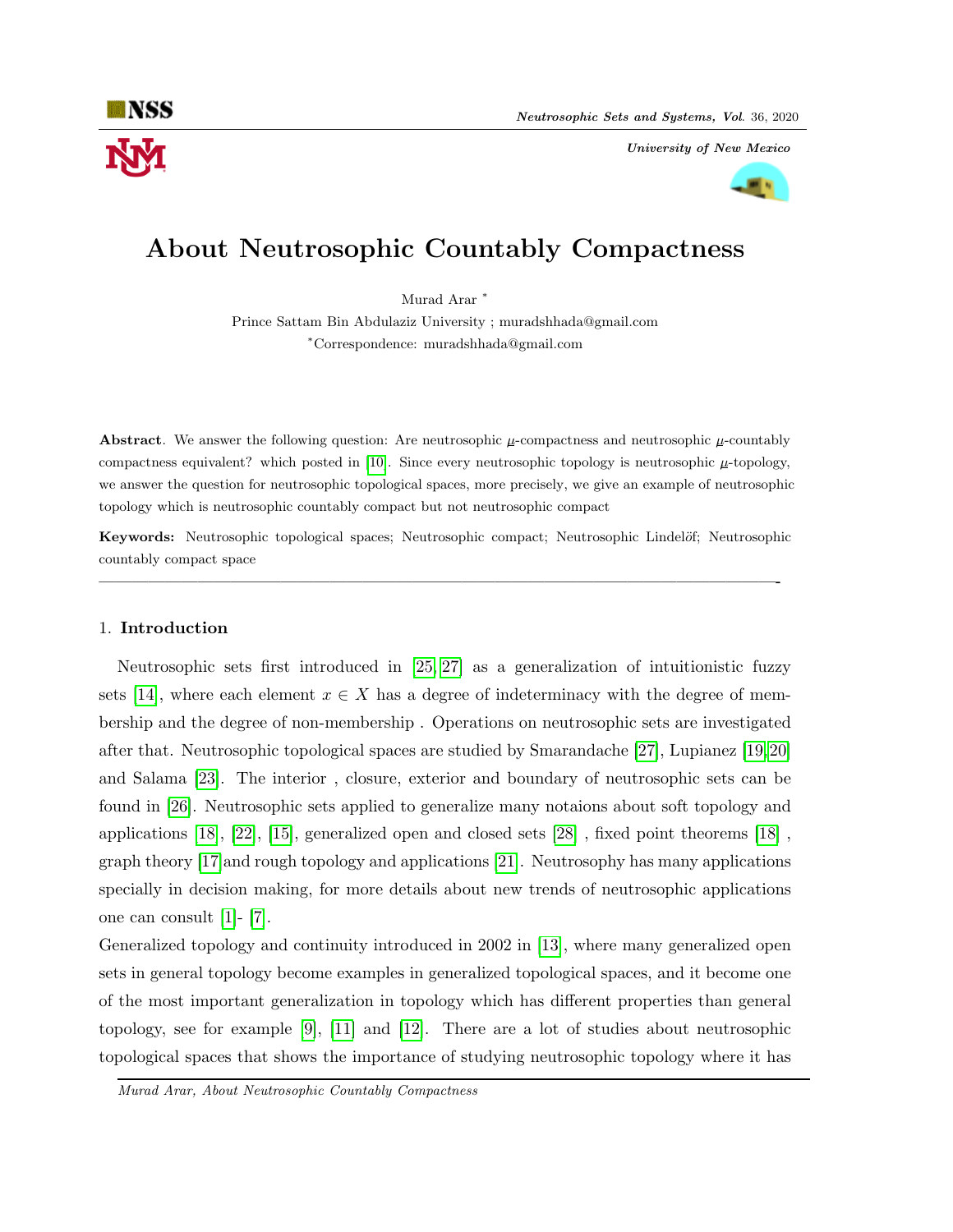

University of New Mexico



# About Neutrosophic Countably Compactness

Murad Arar <sup>\*</sup>

Prince Sattam Bin Abdulaziz University ; muradshhada@gmail.com <sup>∗</sup>Correspondence: muradshhada@gmail.com

**Abstract.** We answer the following question: Are neutrosophic  $\mu$ -compactness and neutrosophic  $\mu$ -countably compactness equivalent? which posted in [\[10\]](#page-8-0). Since every neutrosophic topology is neutrosophic  $\mu$ -topology, we answer the question for neutrosophic topological spaces, more precisely, we give an example of neutrosophic topology which is neutrosophic countably compact but not neutrosophic compact

Keywords: Neutrosophic topological spaces; Neutrosophic compact; Neutrosophic Lindelöf; Neutrosophic countably compact space

—————————————————————————————————————————-

## 1. Introduction

Neutrosophic sets first introduced in [\[25,](#page-8-1) [27\]](#page-8-2) as a generalization of intuitionistic fuzzy sets [\[14\]](#page-8-3), where each element  $x \in X$  has a degree of indeterminacy with the degree of membership and the degree of non-membership . Operations on neutrosophic sets are investigated after that. Neutrosophic topological spaces are studied by Smarandache [\[27\]](#page-8-2), Lupianez [\[19,](#page-8-4)[20\]](#page-8-5) and Salama [\[23\]](#page-8-6). The interior , closure, exterior and boundary of neutrosophic sets can be found in [\[26\]](#page-8-7). Neutrosophic sets applied to generalize many notaions about soft topology and applications [\[18\]](#page-8-8), [\[22\]](#page-8-9), [\[15\]](#page-8-10), generalized open and closed sets [\[28\]](#page-8-11) , fixed point theorems [\[18\]](#page-8-8) , graph theory [\[17\]](#page-8-12)and rough topology and applications [\[21\]](#page-8-13). Neutrosophy has many applications specially in decision making, for more details about new trends of neutrosophic applications one can consult [\[1\]](#page-7-0)- [\[7\]](#page-7-1).

Generalized topology and continuity introduced in 2002 in [\[13\]](#page-8-14), where many generalized open sets in general topology become examples in generalized topological spaces, and it become one of the most important generalization in topology which has different properties than general topology, see for example [\[9\]](#page-8-15), [\[11\]](#page-8-16) and [\[12\]](#page-8-17). There are a lot of studies about neutrosophic topological spaces that shows the importance of studying neutrosophic topology where it has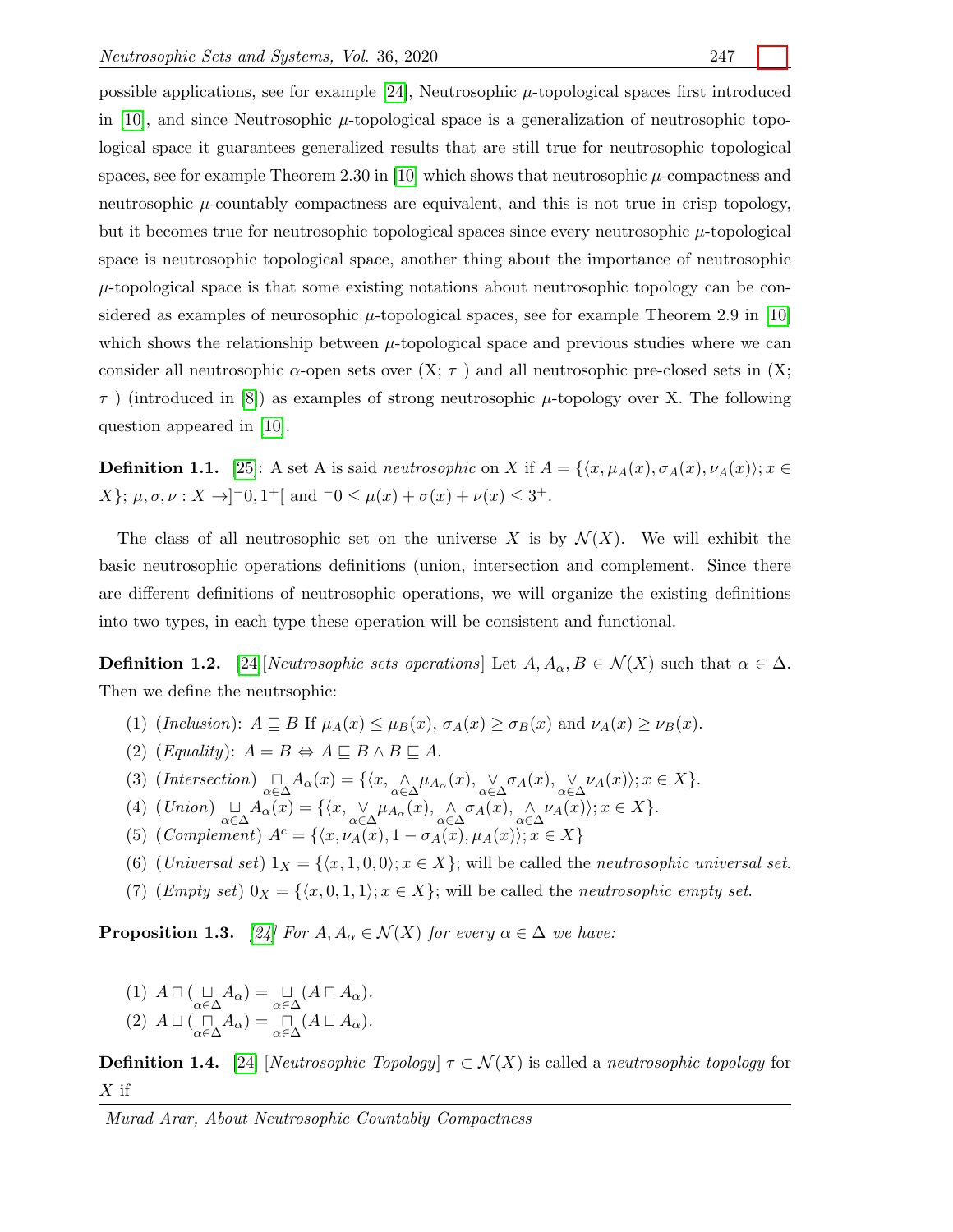possible applications, see for example [\[24\]](#page-8-18), Neutrosophic  $\mu$ -topological spaces first introduced in [\[10\]](#page-8-0), and since Neutrosophic  $\mu$ -topological space is a generalization of neutrosophic topological space it guarantees generalized results that are still true for neutrosophic topological spaces, see for example Theorem 2.30 in [\[10\]](#page-8-0) which shows that neutrosophic  $\mu$ -compactness and neutrosophic  $\mu$ -countably compactness are equivalent, and this is not true in crisp topology, but it becomes true for neutrosophic topological spaces since every neutrosophic  $\mu$ -topological space is neutrosophic topological space, another thing about the importance of neutrosophic  $\mu$ -topological space is that some existing notations about neutrosophic topology can be considered as examples of neurosophic  $\mu$ -topological spaces, see for example Theorem 2.9 in [\[10\]](#page-8-0) which shows the relationship between  $\mu$ -topological space and previous studies where we can consider all neutrosophic  $\alpha$ -open sets over  $(X; \tau)$  and all neutrosophic pre-closed sets in  $(X; \tau)$  $\tau$ ) (introduced in [\[8\]](#page-8-19)) as examples of strong neutrosophic  $\mu$ -topology over X. The following question appeared in [\[10\]](#page-8-0).

**Definition 1.1.** [\[25\]](#page-8-1): A set A is said *neutrosophic* on X if  $A = \{\langle x, \mu_A(x), \sigma_A(x), \nu_A(x)\rangle; x \in$  $X$ ;  $\mu, \sigma, \nu : X \rightarrow ]^-0, 1^+]$  and  $\neg 0 \leq \mu(x) + \sigma(x) + \nu(x) \leq 3^+$ .

The class of all neutrosophic set on the universe X is by  $\mathcal{N}(X)$ . We will exhibit the basic neutrosophic operations definitions (union, intersection and complement. Since there are different definitions of neutrosophic operations, we will organize the existing definitions into two types, in each type these operation will be consistent and functional.

**Definition 1.2.** [\[24\]](#page-8-18)[Neutrosophic sets operations] Let  $A, A_\alpha, B \in \mathcal{N}(X)$  such that  $\alpha \in \Delta$ . Then we define the neutrsophic:

- (1) (Inclusion):  $A \sqsubseteq B$  If  $\mu_A(x) \leq \mu_B(x)$ ,  $\sigma_A(x) \geq \sigma_B(x)$  and  $\nu_A(x) \geq \nu_B(x)$ .
- (2) (*Equality*):  $A = B \Leftrightarrow A \sqsubseteq B \wedge B \sqsubseteq A$ .
- (3)  $(Intersection) \bigcap_{\alpha \in \Delta} A_{\alpha}(x) = \{ \langle x, \underset{\alpha \in \Delta}{\wedge} \mu_{A_{\alpha}}(x), \underset{\alpha \in \Delta}{\vee} \sigma_{A}(x), \underset{\alpha \in \Delta}{\vee} \nu_{A}(x) \rangle; x \in X \}.$
- (4)  $(Union) \underset{\alpha \in \Delta}{\sqcup} A_{\alpha}(x) = \{ \langle x, \underset{\alpha \in \Delta}{\vee} \mu_{A_{\alpha}}(x), \underset{\alpha \in \Delta}{\wedge} \sigma_{A}(x), \underset{\alpha \in \Delta}{\wedge} \nu_{A}(x) \rangle; x \in X \}.$
- (5) (Complement)  $A^c = \{ \langle x, \nu_A(x), 1 \sigma_A(x), \mu_A(x) \rangle; x \in X \}$
- (6) (Universal set)  $1_X = \{ \langle x, 1, 0, 0 \rangle; x \in X \}$ ; will be called the neutrosophic universal set.
- (7) (*Empty set*)  $0_X = \{\langle x, 0, 1, 1 \rangle; x \in X\}$ ; will be called the *neutrosophic empty set*.

<span id="page-1-0"></span>**Proposition 1.3.** [\[24\]](#page-8-18) For  $A, A_{\alpha} \in \mathcal{N}(X)$  for every  $\alpha \in \Delta$  we have:

(1)  $A \sqcap (\bigcup_{\alpha \in \Delta} A_{\alpha}) = \bigcup_{\alpha \in \Delta} (A \sqcap A_{\alpha}).$ (2)  $A \sqcup (\bigcap_{\alpha \in \Delta} A_{\alpha}) = \bigcap_{\alpha \in \Delta} (A \sqcup A_{\alpha}).$ 

**Definition 1.4.** [\[24\]](#page-8-18) [Neutrosophic Topology]  $\tau \subset \mathcal{N}(X)$  is called a neutrosophic topology for  $X$  if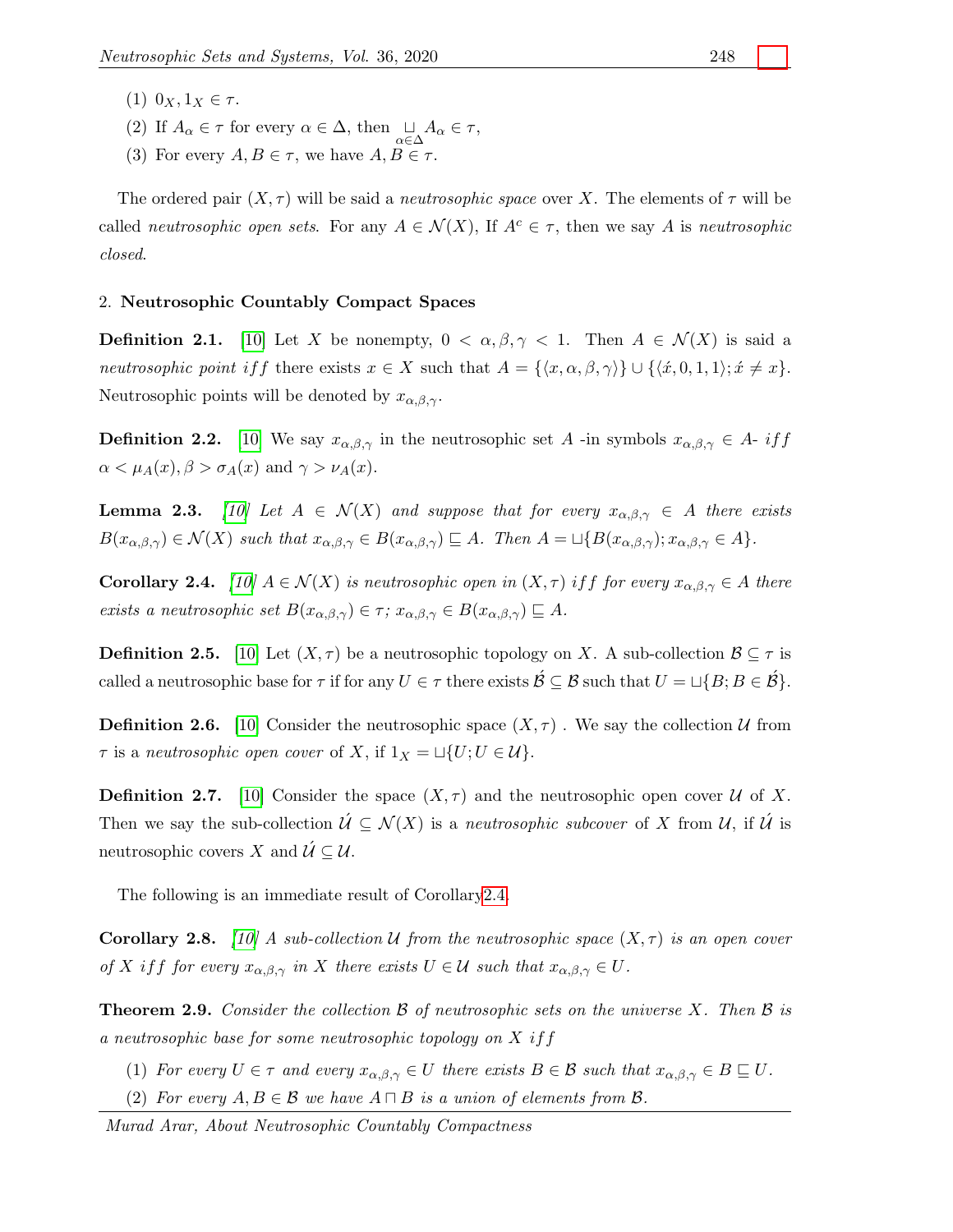- (1)  $0_X, 1_X \in \tau$ .
- (2) If  $A_{\alpha} \in \tau$  for every  $\alpha \in \Delta$ , then  $\bigcup_{\alpha \in \Delta} A_{\alpha} \in \tau$ ,
- (3) For every  $A, B \in \tau$ , we have  $A, B \in \tau$ .

The ordered pair  $(X, \tau)$  will be said a *neutrosophic space* over X. The elements of  $\tau$  will be called *neutrosophic open sets*. For any  $A \in \mathcal{N}(X)$ , If  $A^c \in \tau$ , then we say A is *neutrosophic* closed.

### 2. Neutrosophic Countably Compact Spaces

**Definition 2.1.** [\[10\]](#page-8-0) Let X be nonempty,  $0 < \alpha, \beta, \gamma < 1$ . Then  $A \in \mathcal{N}(X)$  is said a neutrosophic point if f there exists  $x \in X$  such that  $A = \{\langle x, \alpha, \beta, \gamma \rangle\} \cup \{\langle \dot{x}, 0, 1, 1 \rangle; \dot{x} \neq x\}.$ Neutrosophic points will be denoted by  $x_{\alpha,\beta,\gamma}$ .

**Definition 2.2.** [\[10\]](#page-8-0) We say  $x_{\alpha,\beta,\gamma}$  in the neutrosophic set A -in symbols  $x_{\alpha,\beta,\gamma} \in A$ - if f  $\alpha < \mu_A(x), \beta > \sigma_A(x)$  and  $\gamma > \nu_A(x)$ .

**Lemma 2.3.** [\[10\]](#page-8-0) Let  $A \in \mathcal{N}(X)$  and suppose that for every  $x_{\alpha,\beta,\gamma} \in A$  there exists  $B(x_{\alpha,\beta,\gamma}) \in \mathcal{N}(X)$  such that  $x_{\alpha,\beta,\gamma} \in B(x_{\alpha,\beta,\gamma}) \sqsubseteq A$ . Then  $A = \sqcup \{B(x_{\alpha,\beta,\gamma}); x_{\alpha,\beta,\gamma} \in A\}$ .

<span id="page-2-0"></span>**Corollary 2.4.** [\[10\]](#page-8-0)  $A \in \mathcal{N}(X)$  is neutrosophic open in  $(X, \tau)$  if f for every  $x_{\alpha,\beta,\gamma} \in A$  there exists a neutrosophic set  $B(x_{\alpha,\beta,\gamma}) \in \tau$ ;  $x_{\alpha,\beta,\gamma} \in B(x_{\alpha,\beta,\gamma}) \subseteq A$ .

**Definition 2.5.** [\[10\]](#page-8-0) Let  $(X, \tau)$  be a neutrosophic topology on X. A sub-collection  $\mathcal{B} \subseteq \tau$  is called a neutrosophic base for  $\tau$  if for any  $U \in \tau$  there exists  $\mathcal{B} \subseteq \mathcal{B}$  such that  $U = \sqcup \{B; B \in \mathcal{B}\}.$ 

**Definition 2.6.** [\[10\]](#page-8-0) Consider the neutrosophic space  $(X, \tau)$ . We say the collection U from  $\tau$  is a neutrosophic open cover of X, if  $1_X = \sqcup \{U; U \in \mathcal{U}\}.$ 

**Definition 2.7.** [\[10\]](#page-8-0) Consider the space  $(X, \tau)$  and the neutrosophic open cover U of X. Then we say the sub-collection  $\mathcal{U} \subseteq \mathcal{N}(X)$  is a neutrosophic subcover of X from U, if  $\mathcal{U}$  is neutrosophic covers X and  $\mathcal{U} \subseteq \mathcal{U}$ .

The following is an immediate result of Corollar[y2.4.](#page-2-0)

**Corollary 2.8.** [\[10\]](#page-8-0) A sub-collection U from the neutrosophic space  $(X, \tau)$  is an open cover of X if f for every  $x_{\alpha,\beta,\gamma}$  in X there exists  $U \in \mathcal{U}$  such that  $x_{\alpha,\beta,\gamma} \in U$ .

<span id="page-2-1"></span>**Theorem 2.9.** Consider the collection  $\beta$  of neutrosophic sets on the universe X. Then  $\beta$  is a neutrosophic base for some neutrosophic topology on X iff

- (1) For every  $U \in \tau$  and every  $x_{\alpha,\beta,\gamma} \in U$  there exists  $B \in \mathcal{B}$  such that  $x_{\alpha,\beta,\gamma} \in B \sqsubseteq U$ .
- (2) For every  $A, B \in \mathcal{B}$  we have  $A \sqcap B$  is a union of elements from  $\mathcal{B}$ .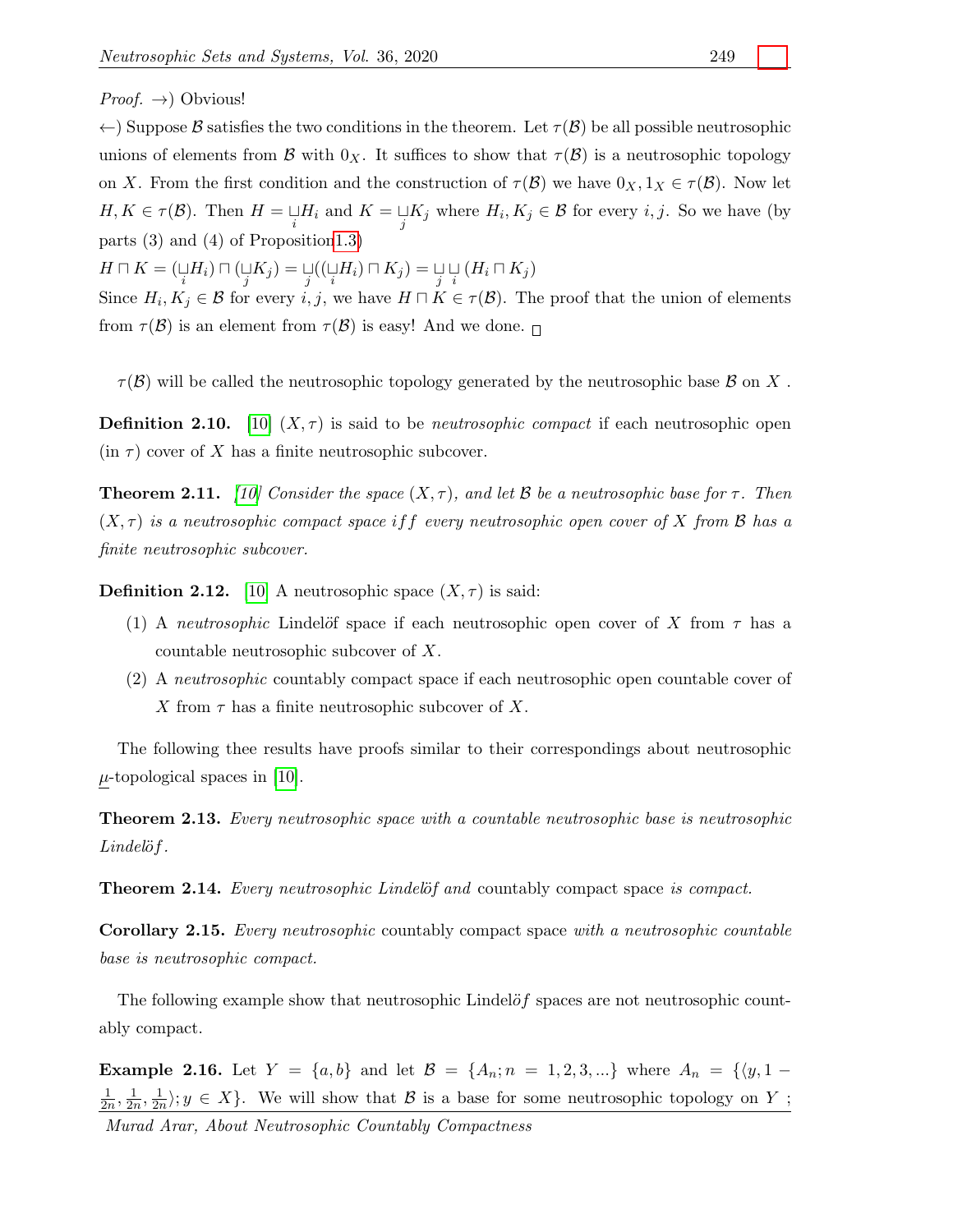*Proof.*  $\rightarrow$ ) Obvious!

 $\leftarrow$ ) Suppose B satisfies the two conditions in the theorem. Let  $\tau(\mathcal{B})$  be all possible neutrosophic unions of elements from B with  $0_X$ . It suffices to show that  $\tau(\mathcal{B})$  is a neutrosophic topology on X. From the first condition and the construction of  $\tau(\mathcal{B})$  we have  $0_X, 1_X \in \tau(\mathcal{B})$ . Now let  $H, K \in \tau(\mathcal{B})$ . Then  $H = \bigcup_i H_i$  and  $K = \bigcup_j K_j$  where  $H_i, K_j \in \mathcal{B}$  for every  $i, j$ . So we have (by parts (3) and (4) of Propositio[n1.3\)](#page-1-0)

 $H\sqcap K=(\mathop{\cup}\limits_{i}H_{i})\sqcap(\mathop{\cup}\limits_{j}K_{j})=\mathop{\cup}\limits_{j}((\mathop{\cup}\limits_{i}H_{i})\sqcap K_{j})=\mathop{\cup}\limits_{j}\mathop{\cup}\limits_{i}(H_{i}\sqcap K_{j})$ 

Since  $H_i, K_j \in \mathcal{B}$  for every  $i, j$ , we have  $H \sqcap K \in \tau(\mathcal{B})$ . The proof that the union of elements from  $\tau(\mathcal{B})$  is an element from  $\tau(\mathcal{B})$  is easy! And we done.

 $\tau(\mathcal{B})$  will be called the neutrosophic topology generated by the neutrosophic base  $\mathcal{B}$  on X.

**Definition 2.10.** [\[10\]](#page-8-0)  $(X, \tau)$  is said to be *neutrosophic compact* if each neutrosophic open  $(in \tau)$  cover of X has a finite neutrosophic subcover.

**Theorem 2.11.** [\[10\]](#page-8-0) Consider the space  $(X, \tau)$ , and let B be a neutrosophic base for  $\tau$ . Then  $(X, \tau)$  is a neutrosophic compact space if f every neutrosophic open cover of X from B has a finite neutrosophic subcover.

**Definition 2.12.** [\[10\]](#page-8-0) A neutrosophic space  $(X, \tau)$  is said:

- (1) A *neutrosophic* Lindelöf space if each neutrosophic open cover of X from  $\tau$  has a countable neutrosophic subcover of X.
- (2) A neutrosophic countably compact space if each neutrosophic open countable cover of X from  $\tau$  has a finite neutrosophic subcover of X.

The following thee results have proofs similar to their correspondings about neutrosophic  $\mu$ -topological spaces in [\[10\]](#page-8-0).

Theorem 2.13. Every neutrosophic space with a countable neutrosophic base is neutrosophic  $Lindel\ddot{\sigma}f$ .

Theorem 2.14. Every neutrosophic Lindelöf and countably compact space is compact.

Corollary 2.15. Every neutrosophic countably compact space with a neutrosophic countable base is neutrosophic compact.

The following example show that neutrosophic Lindel $\partial f$  spaces are not neutrosophic countably compact.

**Example 2.16.** Let  $Y = \{a, b\}$  and let  $\mathcal{B} = \{A_n; n = 1, 2, 3, ...\}$  where  $A_n = \{y, 1 -$ 1  $\frac{1}{2n}, \frac{1}{2n}$  $\frac{1}{2n}, \frac{1}{2n}$  $\frac{1}{2n}$ ; y  $\in X$ . We will show that  $\mathcal B$  is a base for some neutrosophic topology on Y;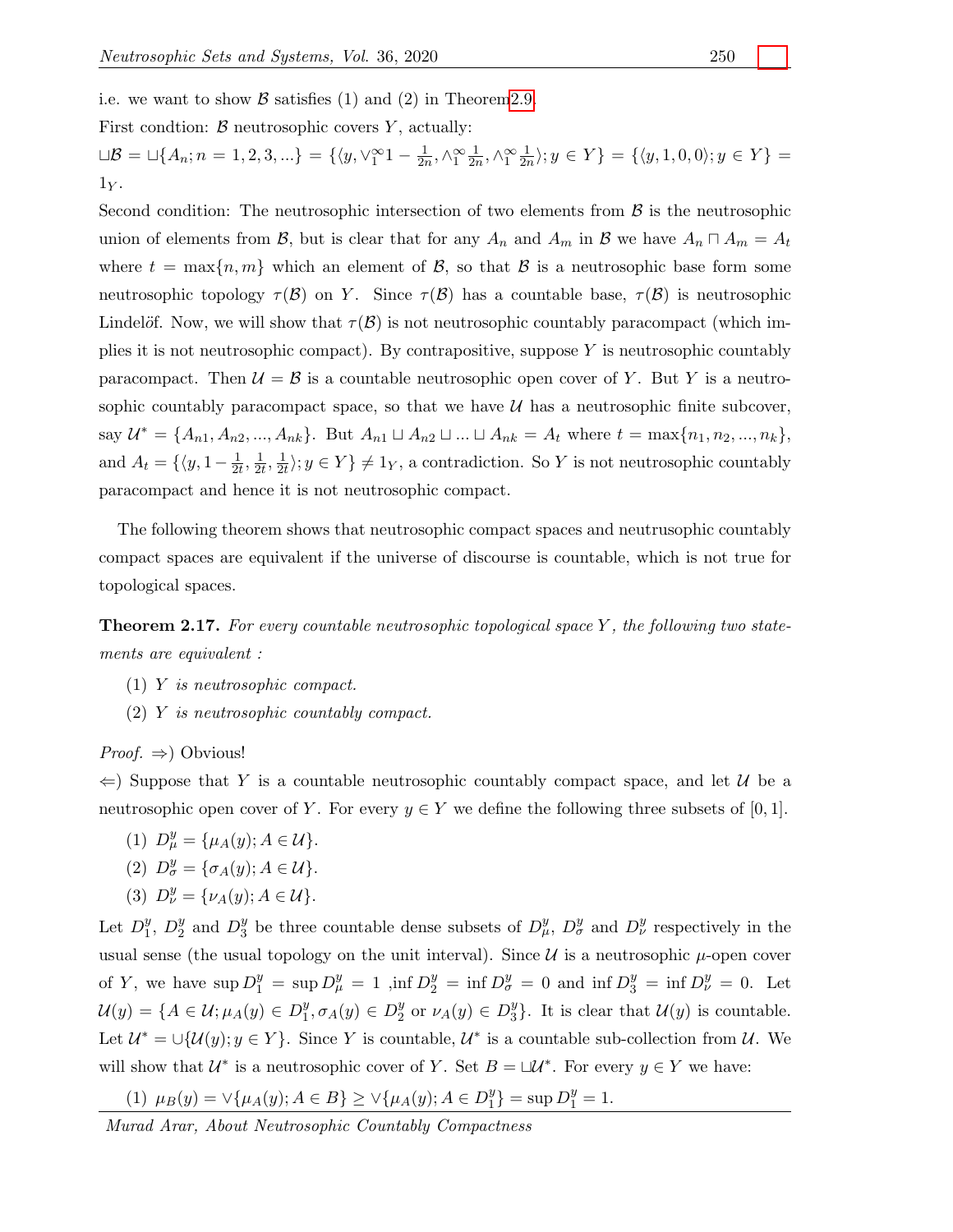i.e. we want to show  $\beta$  satisfies (1) and (2) in Theorem 2.9.

First condtion:  $\beta$  neutrosophic covers Y, actually:

 $\Box \mathcal{B} = \Box \{A_n; n = 1, 2, 3, ...\} = \{\langle y, \lor_1^\infty 1 - \frac{1}{2n}\rangle\}$  $\frac{1}{2n}, \wedge_1^{\infty} \frac{1}{2n}$  $\frac{1}{2n}, \wedge_1^{\infty} \frac{1}{2n}$  $\frac{1}{2n}$ ;  $y \in Y$  = { $\langle y, 1, 0, 0 \rangle$ ;  $y \in Y$ } =  $1_Y$ .

Second condition: The neutrosophic intersection of two elements from  $\beta$  is the neutrosophic union of elements from B, but is clear that for any  $A_n$  and  $A_m$  in B we have  $A_n \cap A_m = A_t$ where  $t = \max\{n, m\}$  which an element of  $\mathcal{B}$ , so that  $\mathcal{B}$  is a neutrosophic base form some neutrosophic topology  $\tau(\mathcal{B})$  on Y. Since  $\tau(\mathcal{B})$  has a countable base,  $\tau(\mathcal{B})$  is neutrosophic Lindelöf. Now, we will show that  $\tau(\mathcal{B})$  is not neutrosophic countably paracompact (which implies it is not neutrosophic compact). By contrapositive, suppose  $Y$  is neutrosophic countably paracompact. Then  $\mathcal{U} = \mathcal{B}$  is a countable neutrosophic open cover of Y. But Y is a neutrosophic countably paracompact space, so that we have  $\mathcal U$  has a neutrosophic finite subcover, say  $\mathcal{U}^* = \{A_{n1}, A_{n2}, ..., A_{nk}\}.$  But  $A_{n1} \sqcup A_{n2} \sqcup ... \sqcup A_{nk} = A_t$  where  $t = \max\{n_1, n_2, ..., n_k\},$ and  $A_t = \{\langle y, 1 - \frac{1}{2} \rangle\}$  $\frac{1}{2t}, \frac{1}{2t}$  $\frac{1}{2t}, \frac{1}{2t}$  $\frac{1}{2t}$ ;  $y \in Y$   $\neq$  1<sub>Y</sub>, a contradiction. So Y is not neutrosophic countably paracompact and hence it is not neutrosophic compact.

The following theorem shows that neutrosophic compact spaces and neutrusophic countably compact spaces are equivalent if the universe of discourse is countable, which is not true for topological spaces.

**Theorem 2.17.** For every countable neutrosophic topological space Y, the following two statements are equivalent :

- (1) Y is neutrosophic compact.
- (2) Y is neutrosophic countably compact.

*Proof.*  $\Rightarrow$  Obvious!

 $\Leftarrow$ ) Suppose that Y is a countable neutrosophic countably compact space, and let U be a neutrosophic open cover of Y. For every  $y \in Y$  we define the following three subsets of [0, 1].

- (1)  $D_{\mu}^{y} = {\mu_A(y); A \in \mathcal{U}}.$
- (2)  $D^y_\sigma = {\sigma_A(y)}; A \in \mathcal{U}.$
- (3)  $D_{\nu}^{y} = {\nu_A(y); A \in \mathcal{U}}.$

Let  $D_1^y$  $_{1}^{y}, D_{2}^{y}$  $_2^y$  and  $D_3^y$ <sup>y</sup>/<sub>3</sub> be three countable dense subsets of  $D_{\mu}^{y}$ ,  $D_{\sigma}^{y}$  and  $D_{\nu}^{y}$  respectively in the usual sense (the usual topology on the unit interval). Since  $\mathcal U$  is a neutrosophic  $\mu$ -open cover of Y, we have  $\sup D_1^y = \sup D_\mu^y = 1$ ,  $\inf D_2^y = \inf D_\sigma^y = 0$  and  $\inf D_3^y = \inf D_\nu^y = 0$ . Let  $\mathcal{U}(y) = \{A \in \mathcal{U}; \mu_A(y) \in D_1^y\}$  $_1^y, \sigma_A(y) \in D_2^y$  $y_2^y$  or  $\nu_A(y) \in D_3^y$  $\mathcal{Y}_3$ . It is clear that  $\mathcal{U}(y)$  is countable. Let  $\mathcal{U}^* = \bigcup \{\mathcal{U}(y); y \in Y\}$ . Since Y is countable,  $\mathcal{U}^*$  is a countable sub-collection from  $\mathcal{U}$ . We will show that  $\mathcal{U}^*$  is a neutrosophic cover of Y. Set  $B = \Box \mathcal{U}^*$ . For every  $y \in Y$  we have:

(1) 
$$
\mu_B(y) = \vee \{\mu_A(y); A \in B\} \ge \vee \{\mu_A(y); A \in D_1^y\} = \sup D_1^y = 1.
$$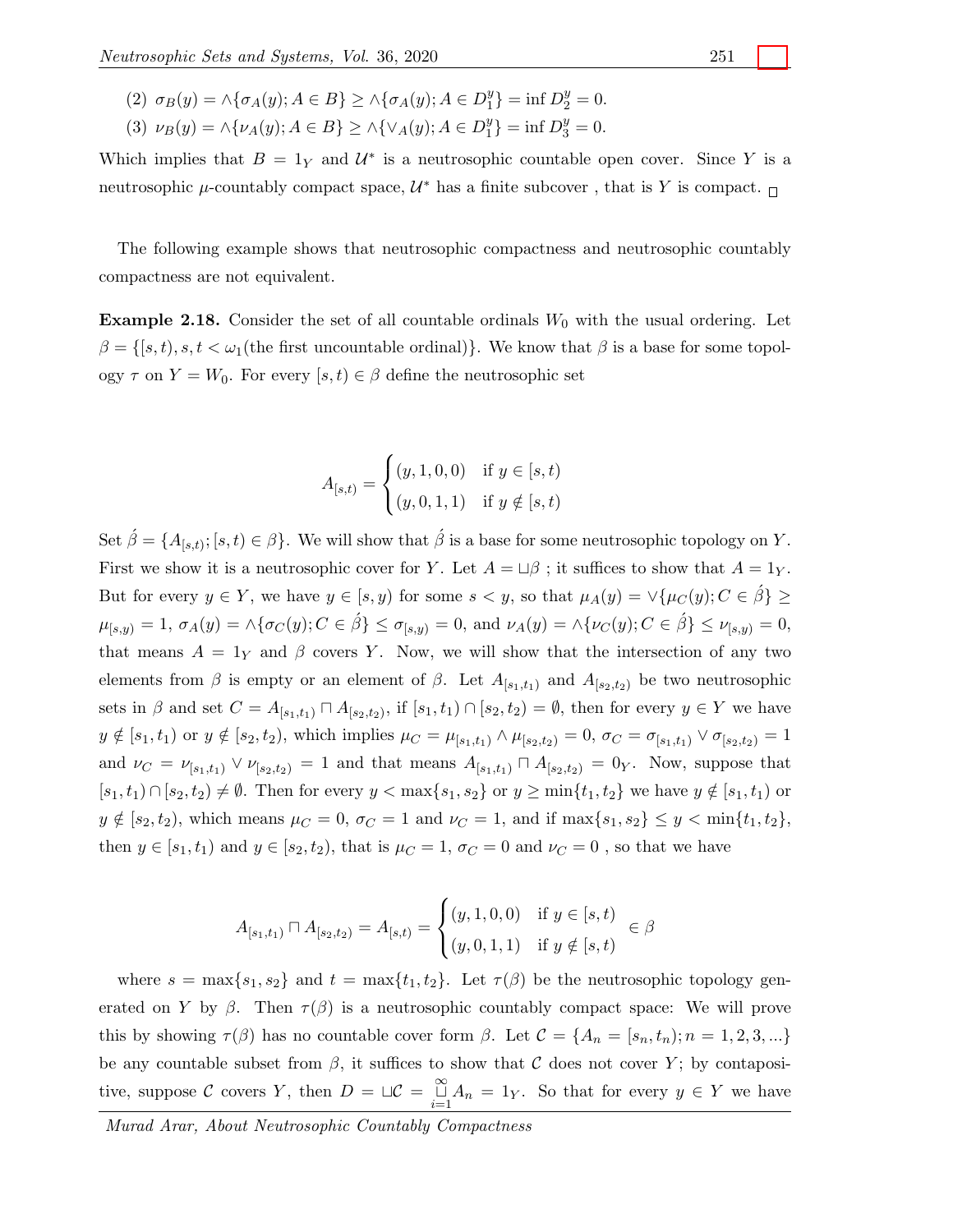- (2)  $\sigma_B(y) = \land {\sigma_A(y)}; A \in B$   $\geq \land {\sigma_A(y)}; A \in D_1^y$  $_{1}^{y}$ } = inf  $D_{2}^{y} = 0$ .
- (3)  $\nu_B(y) = \land {\nu_A(y); A \in B} \ge \land {\lor_A(y); A \in D_1^y}$  $_{1}^{y}$ } = inf  $D_{3}^{y} = 0$ .

Which implies that  $B = 1<sub>Y</sub>$  and  $U^*$  is a neutrosophic countable open cover. Since Y is a neutrosophic  $\mu$ -countably compact space,  $\mathcal{U}^*$  has a finite subcover, that is Y is compact.

The following example shows that neutrosophic compactness and neutrosophic countably compactness are not equivalent.

<span id="page-5-0"></span>**Example 2.18.** Consider the set of all countable ordinals  $W_0$  with the usual ordering. Let  $\beta = \{ [s, t), s, t < \omega_1 \text{ (the first uncountable ordinal)} \}.$  We know that  $\beta$  is a base for some topology  $\tau$  on  $Y = W_0$ . For every  $[s, t] \in \beta$  define the neutrosophic set

$$
A_{[s,t)} = \begin{cases} (y, 1, 0, 0) & \text{if } y \in [s, t) \\ (y, 0, 1, 1) & \text{if } y \notin [s, t) \end{cases}
$$

Set  $\hat{\beta} = \{A_{[s,t)}; [s,t) \in \beta\}$ . We will show that  $\hat{\beta}$  is a base for some neutrosophic topology on Y. First we show it is a neutrosophic cover for Y. Let  $A = \Box \beta$ ; it suffices to show that  $A = 1_Y$ . But for every  $y \in Y$ , we have  $y \in [s, y)$  for some  $s < y$ , so that  $\mu_A(y) = \forall {\mu_C(y)}$ ;  $C \in \hat{\beta}$  ≥  $\mu_{[s,y)} = 1, \sigma_A(y) = \wedge \{\sigma_C(y); C \in \hat{\beta}\}\leq \sigma_{[s,y)} = 0, \text{ and } \nu_A(y) = \wedge \{\nu_C(y); C \in \hat{\beta}\}\leq \nu_{[s,y)} = 0,$ that means  $A = 1<sub>Y</sub>$  and  $\beta$  covers Y. Now, we will show that the intersection of any two elements from  $\beta$  is empty or an element of  $\beta$ . Let  $A_{[s_1,t_1)}$  and  $A_{[s_2,t_2)}$  be two neutrosophic sets in  $\beta$  and set  $C = A_{[s_1,t_1)} \sqcap A_{[s_2,t_2)}$ , if  $[s_1,t_1) \cap [s_2,t_2) = \emptyset$ , then for every  $y \in Y$  we have  $y \notin [s_1, t_1]$  or  $y \notin [s_2, t_2)$ , which implies  $\mu_C = \mu_{[s_1, t_1)} \wedge \mu_{[s_2, t_2)} = 0$ ,  $\sigma_C = \sigma_{[s_1, t_1]} \vee \sigma_{[s_2, t_2)} = 1$ and  $\nu_C = \nu_{[s_1,t_1]} \vee \nu_{[s_2,t_2]} = 1$  and that means  $A_{[s_1,t_1]} \cap A_{[s_2,t_2]} = 0$ . Now, suppose that  $[s_1, t_1] \cap [s_2, t_2] \neq \emptyset$ . Then for every  $y < \max\{s_1, s_2\}$  or  $y \ge \min\{t_1, t_2\}$  we have  $y \notin [s_1, t_1)$  or  $y \notin [s_2, t_2)$ , which means  $\mu_C = 0$ ,  $\sigma_C = 1$  and  $\nu_C = 1$ , and if  $\max\{s_1, s_2\} \leq y < \min\{t_1, t_2\}$ , then  $y \in [s_1, t_1)$  and  $y \in [s_2, t_2)$ , that is  $\mu_C = 1$ ,  $\sigma_C = 0$  and  $\nu_C = 0$ , so that we have

$$
A_{[s_1,t_1)} \sqcap A_{[s_2,t_2)} = A_{[s,t)} = \begin{cases} (y,1,0,0) & \text{if } y \in [s,t) \\ (y,0,1,1) & \text{if } y \notin [s,t) \end{cases} \in \beta
$$

where  $s = \max\{s_1, s_2\}$  and  $t = \max\{t_1, t_2\}$ . Let  $\tau(\beta)$  be the neutrosophic topology generated on Y by  $\beta$ . Then  $\tau(\beta)$  is a neutrosophic countably compact space: We will prove this by showing  $\tau(\beta)$  has no countable cover form  $\beta$ . Let  $\mathcal{C} = \{A_n = [s_n, t_n); n = 1, 2, 3, ...\}$ be any countable subset from  $\beta$ , it suffices to show that C does not cover Y; by contapositive, suppose C covers Y, then  $D = \Box C = \bigcup_{i=1}^{\infty} A_n = 1_Y$ . So that for every  $y \in Y$  we have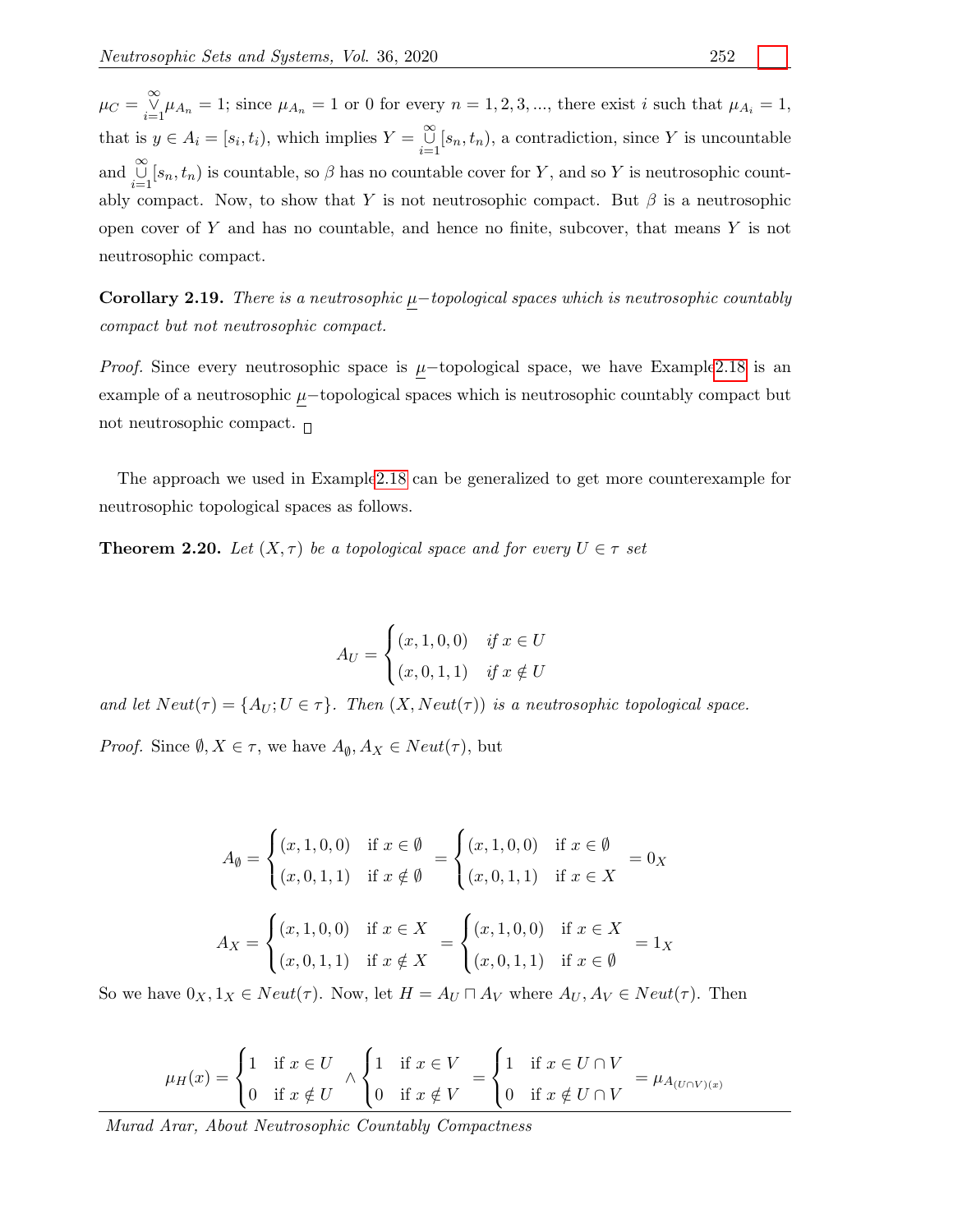$\mu_C = \bigvee_{i=1}^{\infty} \mu_{A_n} = 1$ ; since  $\mu_{A_n} = 1$  or 0 for every  $n = 1, 2, 3, ...$ , there exist i such that  $\mu_{A_i} = 1$ , that is  $y \in A_i = [s_i, t_i)$ , which implies  $Y = \bigcup_{i=1}^{\infty} [s_n, t_n)$ , a contradiction, since Y is uncountable and  $\bigcup_{i=1}^{\infty} [s_n, t_n)$  is countable, so  $\beta$  has no countable cover for Y, and so Y is neutrosophic countably compact. Now, to show that Y is not neutrosophic compact. But  $\beta$  is a neutrosophic open cover of  $Y$  and has no countable, and hence no finite, subcover, that means  $Y$  is not neutrosophic compact.

Corollary 2.19. There is a neutrosophic  $\mu$ -topological spaces which is neutrosophic countably compact but not neutrosophic compact.

*Proof.* Since every neutrosophic space is  $\mu$ -topological space, we have Exampl[e2.18](#page-5-0) is an example of a neutrosophic  $\mu$ −topological spaces which is neutrosophic countably compact but not neutrosophic compact.  $\Box$ 

The approach we used in Exampl[e2.18](#page-5-0) can be generalized to get more counterexample for neutrosophic topological spaces as follows.

**Theorem 2.20.** Let  $(X, \tau)$  be a topological space and for every  $U \in \tau$  set

$$
A_U = \begin{cases} (x, 1, 0, 0) & \text{if } x \in U \\ (x, 0, 1, 1) & \text{if } x \notin U \end{cases}
$$

and let  $Neut(\tau) = \{A_U; U \in \tau\}$ . Then  $(X, Neut(\tau))$  is a neutrosophic topological space.

*Proof.* Since  $\emptyset, X \in \tau$ , we have  $A_{\emptyset}, A_X \in Neut(\tau)$ , but

$$
A_{\emptyset} = \begin{cases} (x, 1, 0, 0) & \text{if } x \in \emptyset \\ (x, 0, 1, 1) & \text{if } x \notin \emptyset \end{cases} = \begin{cases} (x, 1, 0, 0) & \text{if } x \in \emptyset \\ (x, 0, 1, 1) & \text{if } x \in X \end{cases} = 0_X
$$
  

$$
A_X = \begin{cases} (x, 1, 0, 0) & \text{if } x \in X \\ (x, 0, 1, 1) & \text{if } x \notin X \end{cases} = \begin{cases} (x, 1, 0, 0) & \text{if } x \in X \\ (x, 0, 1, 1) & \text{if } x \in \emptyset \end{cases} = 1_X
$$

So we have  $0_X, 1_X \in Neut(\tau)$ . Now, let  $H = A_U \sqcap A_V$  where  $A_U, A_V \in Neut(\tau)$ . Then

$$
\mu_H(x) = \begin{cases} 1 & \text{if } x \in U \\ 0 & \text{if } x \notin U \end{cases} \wedge \begin{cases} 1 & \text{if } x \in V \\ 0 & \text{if } x \notin V \end{cases} = \begin{cases} 1 & \text{if } x \in U \cap V \\ 0 & \text{if } x \notin U \cap V \end{cases} = \mu_{A_{(U \cap V)(x)}}
$$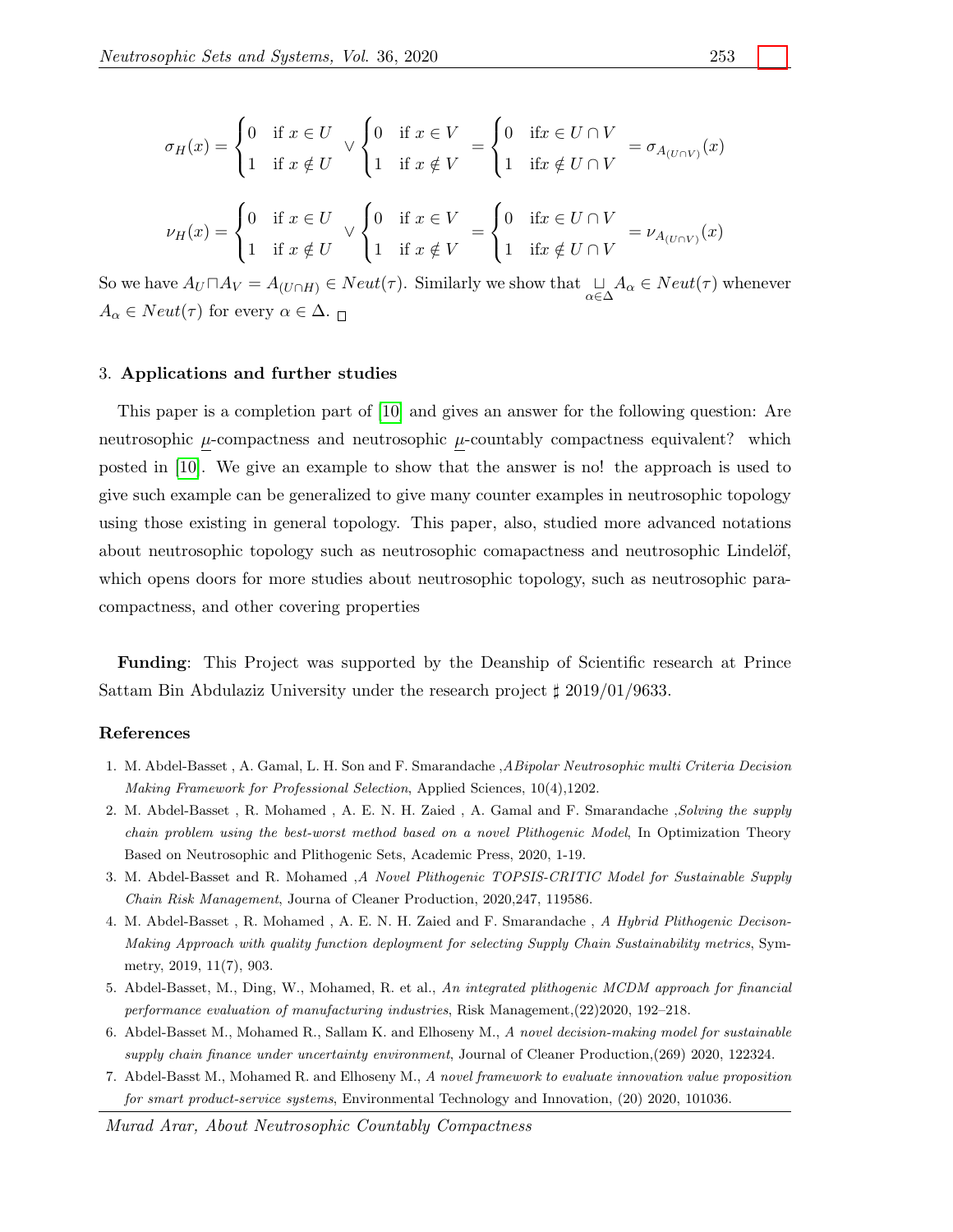$$
\sigma_H(x) = \begin{cases}\n0 & \text{if } x \in U \\
1 & \text{if } x \notin U\n\end{cases} \lor \begin{cases}\n0 & \text{if } x \in V \\
1 & \text{if } x \notin V\n\end{cases} = \begin{cases}\n0 & \text{if } x \in U \cap V \\
1 & \text{if } x \notin U \cap V\n\end{cases} = \sigma_{A_{(U \cap V)}}(x)
$$
\n
$$
\nu_H(x) = \begin{cases}\n0 & \text{if } x \in U \\
1 & \text{if } x \notin U\n\end{cases} \lor \begin{cases}\n0 & \text{if } x \in V \\
1 & \text{if } x \notin V\n\end{cases} = \begin{cases}\n0 & \text{if } x \in U \cap V \\
1 & \text{if } x \notin U \cap V\n\end{cases} = \nu_{A_{(U \cap V)}}(x)
$$

So we have  $A_U \sqcap A_V = A_{(U \cap H)} \in Neut(\tau)$ . Similarly we show that  $\bigcup_{\alpha \in \Delta} A_\alpha \in Neut(\tau)$  whenever  $A_{\alpha} \in Neut(\tau)$  for every  $\alpha \in \Delta$ .

#### 3. Applications and further studies

This paper is a completion part of [\[10\]](#page-8-0) and gives an answer for the following question: Are neutrosophic  $\mu$ -compactness and neutrosophic  $\mu$ -countably compactness equivalent? which posted in [\[10\]](#page-8-0). We give an example to show that the answer is no! the approach is used to give such example can be generalized to give many counter examples in neutrosophic topology using those existing in general topology. This paper, also, studied more advanced notations about neutrosophic topology such as neutrosophic comapactness and neutrosophic Lindelöf, which opens doors for more studies about neutrosophic topology, such as neutrosophic paracompactness, and other covering properties

Funding: This Project was supported by the Deanship of Scientific research at Prince Sattam Bin Abdulaziz University under the research project  $\sharp$  2019/01/9633.

#### References

- <span id="page-7-0"></span>1. M. Abdel-Basset , A. Gamal, L. H. Son and F. Smarandache ,ABipolar Neutrosophic multi Criteria Decision Making Framework for Professional Selection, Applied Sciences, 10(4),1202.
- 2. M. Abdel-Basset , R. Mohamed , A. E. N. H. Zaied , A. Gamal and F. Smarandache ,Solving the supply chain problem using the best-worst method based on a novel Plithogenic Model, In Optimization Theory Based on Neutrosophic and Plithogenic Sets, Academic Press, 2020, 1-19.
- 3. M. Abdel-Basset and R. Mohamed ,A Novel Plithogenic TOPSIS-CRITIC Model for Sustainable Supply Chain Risk Management, Journa of Cleaner Production, 2020,247, 119586.
- 4. M. Abdel-Basset , R. Mohamed , A. E. N. H. Zaied and F. Smarandache , A Hybrid Plithogenic Decison-Making Approach with quality function deployment for selecting Supply Chain Sustainability metrics, Symmetry, 2019, 11(7), 903.
- 5. Abdel-Basset, M., Ding, W., Mohamed, R. et al., An integrated plithogenic MCDM approach for financial performance evaluation of manufacturing industries, Risk Management,(22)2020, 192–218.
- 6. Abdel-Basset M., Mohamed R., Sallam K. and Elhoseny M., A novel decision-making model for sustainable supply chain finance under uncertainty environment, Journal of Cleaner Production,(269) 2020, 122324.
- <span id="page-7-1"></span>7. Abdel-Basst M., Mohamed R. and Elhoseny M., A novel framework to evaluate innovation value proposition for smart product-service systems, Environmental Technology and Innovation, (20) 2020, 101036.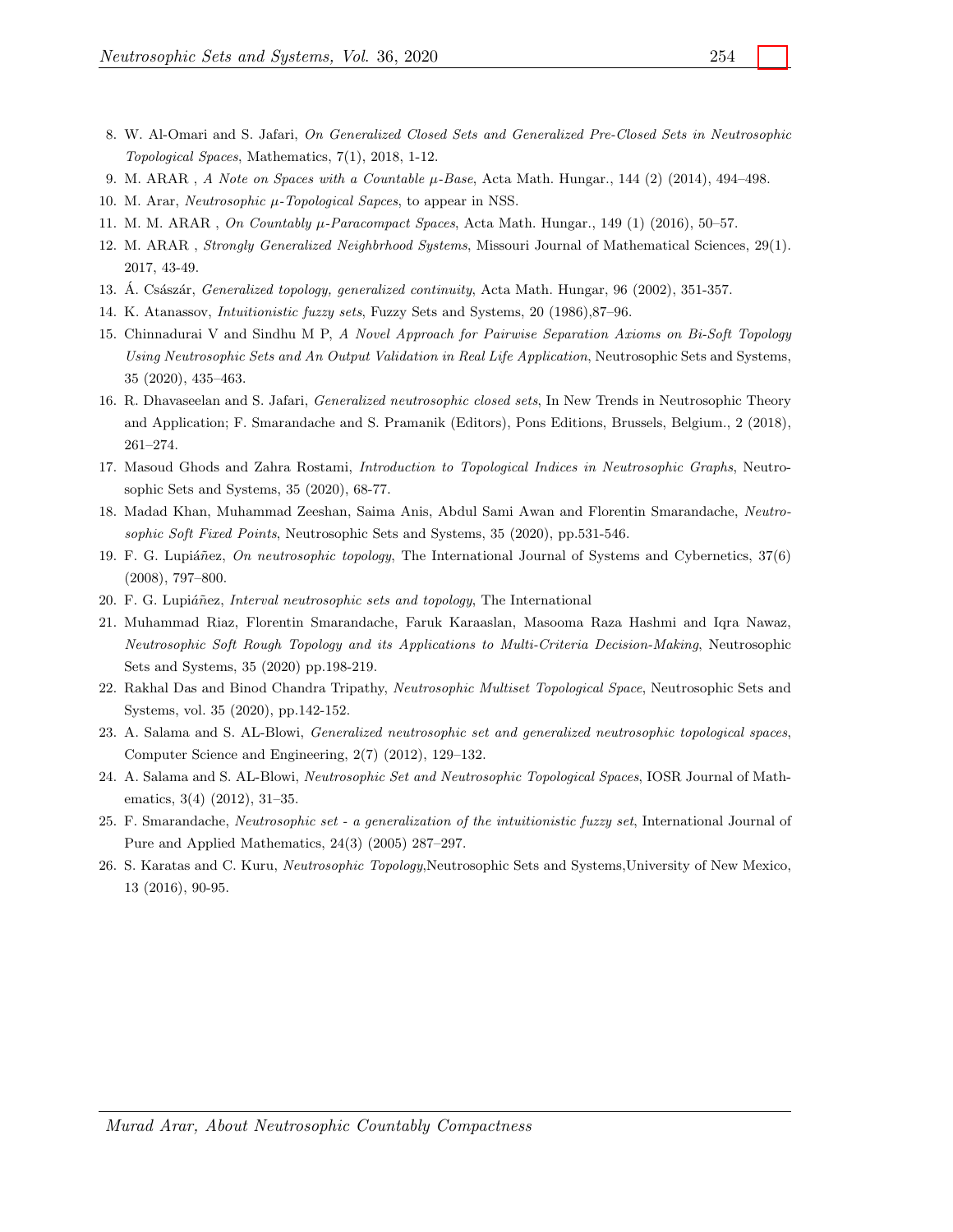- <span id="page-8-19"></span><span id="page-8-15"></span>8. W. Al-Omari and S. Jafari, On Generalized Closed Sets and Generalized Pre-Closed Sets in Neutrosophic Topological Spaces, Mathematics, 7(1), 2018, 1-12.
- <span id="page-8-16"></span><span id="page-8-0"></span>9. M. ARAR, A Note on Spaces with a Countable  $\mu$ -Base, Acta Math. Hungar., 144 (2) (2014), 494–498.
- <span id="page-8-17"></span>10. M. Arar, *Neutrosophic µ-Topological Sapces*, to appear in NSS.
- 11. M. M. ARAR, On Countably  $\mu$ -Paracompact Spaces, Acta Math. Hungar., 149 (1) (2016), 50–57.
- <span id="page-8-14"></span>12. M. ARAR , Strongly Generalized Neighbrhood Systems, Missouri Journal of Mathematical Sciences, 29(1). 2017, 43-49.
- <span id="page-8-10"></span><span id="page-8-3"></span>13. A. Császár, *Generalized topology, generalized continuity*, Acta Math. Hungar, 96 (2002), 351-357.
- 14. K. Atanassov, Intuitionistic fuzzy sets, Fuzzy Sets and Systems, 20 (1986),87–96.
- 15. Chinnadurai V and Sindhu M P, A Novel Approach for Pairwise Separation Axioms on Bi-Soft Topology Using Neutrosophic Sets and An Output Validation in Real Life Application, Neutrosophic Sets and Systems, 35 (2020), 435–463.
- <span id="page-8-12"></span>16. R. Dhavaseelan and S. Jafari, Generalized neutrosophic closed sets, In New Trends in Neutrosophic Theory and Application; F. Smarandache and S. Pramanik (Editors), Pons Editions, Brussels, Belgium., 2 (2018), 261–274.
- <span id="page-8-8"></span>17. Masoud Ghods and Zahra Rostami, Introduction to Topological Indices in Neutrosophic Graphs, Neutrosophic Sets and Systems, 35 (2020), 68-77.
- <span id="page-8-4"></span>18. Madad Khan, Muhammad Zeeshan, Saima Anis, Abdul Sami Awan and Florentin Smarandache, Neutrosophic Soft Fixed Points, Neutrosophic Sets and Systems, 35 (2020), pp.531-546.
- <span id="page-8-5"></span>19. F. G. Lupiáñez, On neutrosophic topology, The International Journal of Systems and Cybernetics, 37(6) (2008), 797–800.
- <span id="page-8-13"></span>20. F. G. Lupiáñez, *Interval neutrosophic sets and topology*, The International
- <span id="page-8-9"></span>21. Muhammad Riaz, Florentin Smarandache, Faruk Karaaslan, Masooma Raza Hashmi and Iqra Nawaz, Neutrosophic Soft Rough Topology and its Applications to Multi-Criteria Decision-Making, Neutrosophic Sets and Systems, 35 (2020) pp.198-219.
- <span id="page-8-6"></span>22. Rakhal Das and Binod Chandra Tripathy, Neutrosophic Multiset Topological Space, Neutrosophic Sets and Systems, vol. 35 (2020), pp.142-152.
- <span id="page-8-18"></span>23. A. Salama and S. AL-Blowi, Generalized neutrosophic set and generalized neutrosophic topological spaces, Computer Science and Engineering, 2(7) (2012), 129–132.
- <span id="page-8-1"></span>24. A. Salama and S. AL-Blowi, Neutrosophic Set and Neutrosophic Topological Spaces, IOSR Journal of Mathematics, 3(4) (2012), 31–35.
- <span id="page-8-7"></span>25. F. Smarandache, Neutrosophic set - a generalization of the intuitionistic fuzzy set, International Journal of Pure and Applied Mathematics, 24(3) (2005) 287–297.
- <span id="page-8-11"></span><span id="page-8-2"></span>26. S. Karatas and C. Kuru, Neutrosophic Topology,Neutrosophic Sets and Systems,University of New Mexico, 13 (2016), 90-95.